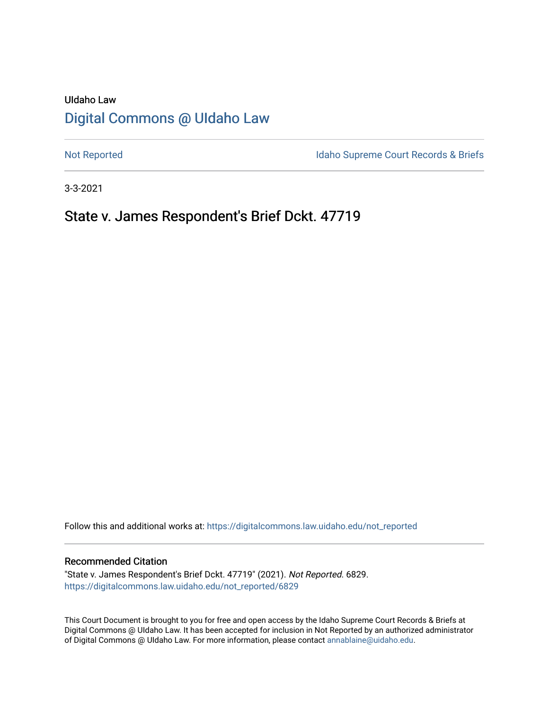# UIdaho Law [Digital Commons @ UIdaho Law](https://digitalcommons.law.uidaho.edu/)

[Not Reported](https://digitalcommons.law.uidaho.edu/not_reported) **Idaho Supreme Court Records & Briefs** 

3-3-2021

# State v. James Respondent's Brief Dckt. 47719

Follow this and additional works at: [https://digitalcommons.law.uidaho.edu/not\\_reported](https://digitalcommons.law.uidaho.edu/not_reported?utm_source=digitalcommons.law.uidaho.edu%2Fnot_reported%2F6829&utm_medium=PDF&utm_campaign=PDFCoverPages) 

#### Recommended Citation

"State v. James Respondent's Brief Dckt. 47719" (2021). Not Reported. 6829. [https://digitalcommons.law.uidaho.edu/not\\_reported/6829](https://digitalcommons.law.uidaho.edu/not_reported/6829?utm_source=digitalcommons.law.uidaho.edu%2Fnot_reported%2F6829&utm_medium=PDF&utm_campaign=PDFCoverPages)

This Court Document is brought to you for free and open access by the Idaho Supreme Court Records & Briefs at Digital Commons @ UIdaho Law. It has been accepted for inclusion in Not Reported by an authorized administrator of Digital Commons @ UIdaho Law. For more information, please contact [annablaine@uidaho.edu](mailto:annablaine@uidaho.edu).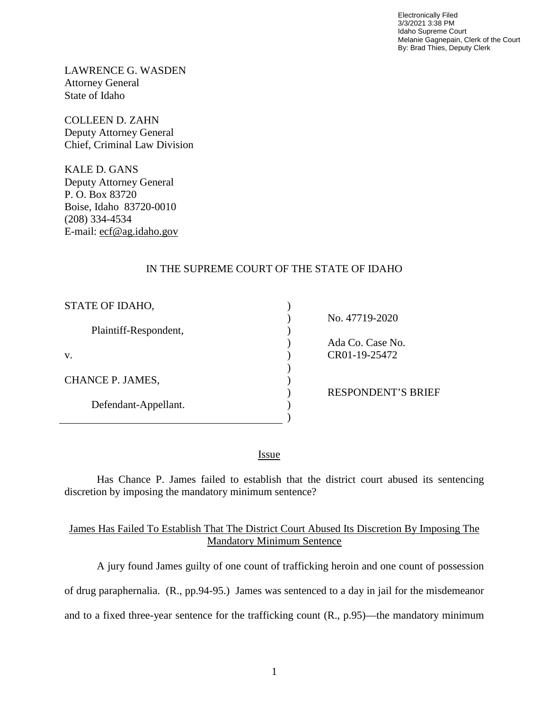Electronically Filed 3/3/2021 3:38 PM Idaho Supreme Court Melanie Gagnepain, Clerk of the Court By: Brad Thies, Deputy Clerk

LAWRENCE G. WASDEN Attorney General State of Idaho

COLLEEN D. ZAHN Deputy Attorney General Chief, Criminal Law Division

KALE D. GANS Deputy Attorney General P. O. Box 83720 Boise, Idaho 83720-0010 (208) 334-4534 E-mail: ecf@ag.idaho.gov

### IN THE SUPREME COURT OF THE STATE OF IDAHO

| STATE OF IDAHO,       |    |
|-----------------------|----|
|                       | No |
| Plaintiff-Respondent, |    |
|                       | Ad |
| v.                    |    |
|                       |    |
| CHANCE P. JAMES,      |    |
|                       | RE |
| Defendant-Appellant.  |    |
|                       |    |

 $0.47719 - 2020$ la Co. Case No. CR01-19-25472

**SPONDENT'S BRIEF** 

<u>Issue</u>

Has Chance P. James failed to establish that the district court abused its sentencing discretion by imposing the mandatory minimum sentence?

#### James Has Failed To Establish That The District Court Abused Its Discretion By Imposing The Mandatory Minimum Sentence

A jury found James guilty of one count of trafficking heroin and one count of possession of drug paraphernalia. (R., pp.94-95.) James was sentenced to a day in jail for the misdemeanor and to a fixed three-year sentence for the trafficking count (R., p.95)—the mandatory minimum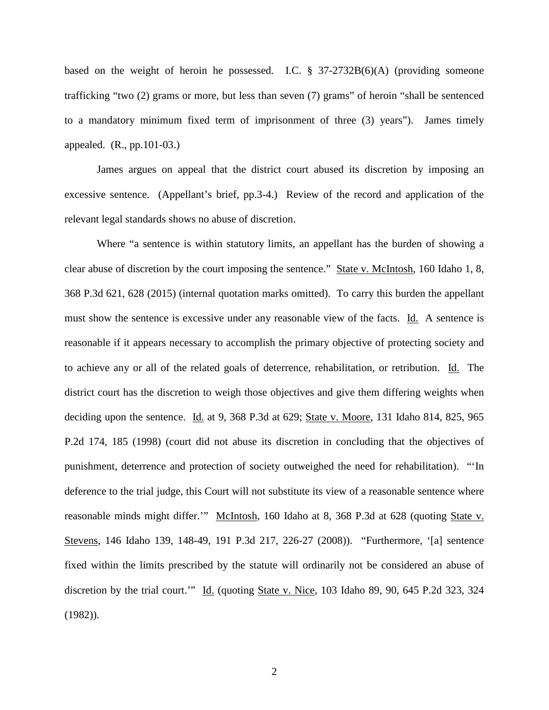based on the weight of heroin he possessed. I.C.  $\S$  37-2732B(6)(A) (providing someone trafficking "two (2) grams or more, but less than seven (7) grams" of heroin "shall be sentenced to a mandatory minimum fixed term of imprisonment of three (3) years"). James timely appealed. (R., pp.101-03.)

James argues on appeal that the district court abused its discretion by imposing an excessive sentence. (Appellant's brief, pp.3-4.) Review of the record and application of the relevant legal standards shows no abuse of discretion.

Where "a sentence is within statutory limits, an appellant has the burden of showing a clear abuse of discretion by the court imposing the sentence." State v. McIntosh, 160 Idaho 1, 8, 368 P.3d 621, 628 (2015) (internal quotation marks omitted). To carry this burden the appellant must show the sentence is excessive under any reasonable view of the facts. Id. A sentence is reasonable if it appears necessary to accomplish the primary objective of protecting society and to achieve any or all of the related goals of deterrence, rehabilitation, or retribution. Id. The district court has the discretion to weigh those objectives and give them differing weights when deciding upon the sentence. Id. at 9, 368 P.3d at 629; State v. Moore, 131 Idaho 814, 825, 965 P.2d 174, 185 (1998) (court did not abuse its discretion in concluding that the objectives of punishment, deterrence and protection of society outweighed the need for rehabilitation). "'In deference to the trial judge, this Court will not substitute its view of a reasonable sentence where reasonable minds might differ." McIntosh, 160 Idaho at 8, 368 P.3d at 628 (quoting State v. Stevens, 146 Idaho 139, 148-49, 191 P.3d 217, 226-27 (2008)). "Furthermore, '[a] sentence fixed within the limits prescribed by the statute will ordinarily not be considered an abuse of discretion by the trial court." Id. (quoting State v. Nice, 103 Idaho 89, 90, 645 P.2d 323, 324 (1982)).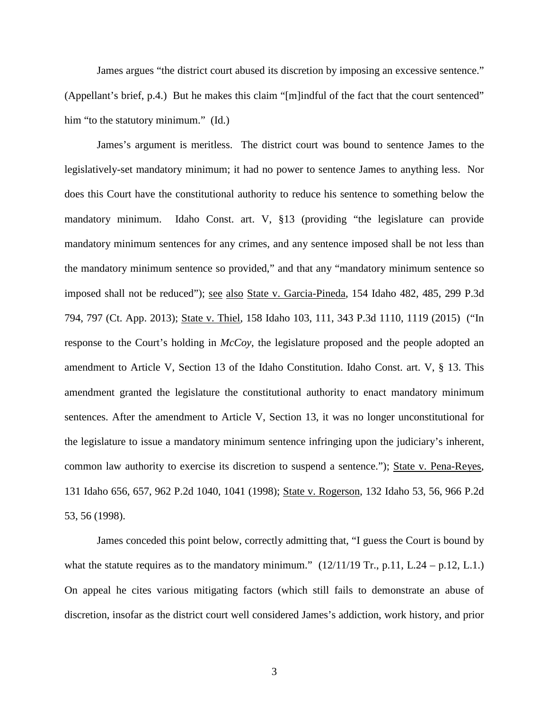James argues "the district court abused its discretion by imposing an excessive sentence." (Appellant's brief, p.4.) But he makes this claim "[m]indful of the fact that the court sentenced" him "to the statutory minimum." (Id.)

James's argument is meritless. The district court was bound to sentence James to the legislatively-set mandatory minimum; it had no power to sentence James to anything less. Nor does this Court have the constitutional authority to reduce his sentence to something below the mandatory minimum. Idaho Const. art. V, §13 (providing "the legislature can provide mandatory minimum sentences for any crimes, and any sentence imposed shall be not less than the mandatory minimum sentence so provided," and that any "mandatory minimum sentence so imposed shall not be reduced"); see also State v. Garcia-Pineda, 154 Idaho 482, 485, 299 P.3d 794, 797 (Ct. App. 2013); State v. Thiel, 158 Idaho 103, 111, 343 P.3d 1110, 1119 (2015) ("In response to the Court's holding in *McCoy*, the legislature proposed and the people adopted an amendment to Article V, Section 13 of the Idaho Constitution. Idaho Const. art. V, § 13. This amendment granted the legislature the constitutional authority to enact mandatory minimum sentences. After the amendment to Article V, Section 13, it was no longer unconstitutional for the legislature to issue a mandatory minimum sentence infringing upon the judiciary's inherent, common law authority to exercise its discretion to suspend a sentence."); State v. Pena-Reyes, 131 Idaho 656, 657, 962 P.2d 1040, 1041 (1998); State v. Rogerson, 132 Idaho 53, 56, 966 P.2d 53, 56 (1998).

James conceded this point below, correctly admitting that, "I guess the Court is bound by what the statute requires as to the mandatory minimum."  $(12/11/19 \text{ Tr}$ , p.11, L.24 – p.12, L.1.) On appeal he cites various mitigating factors (which still fails to demonstrate an abuse of discretion, insofar as the district court well considered James's addiction, work history, and prior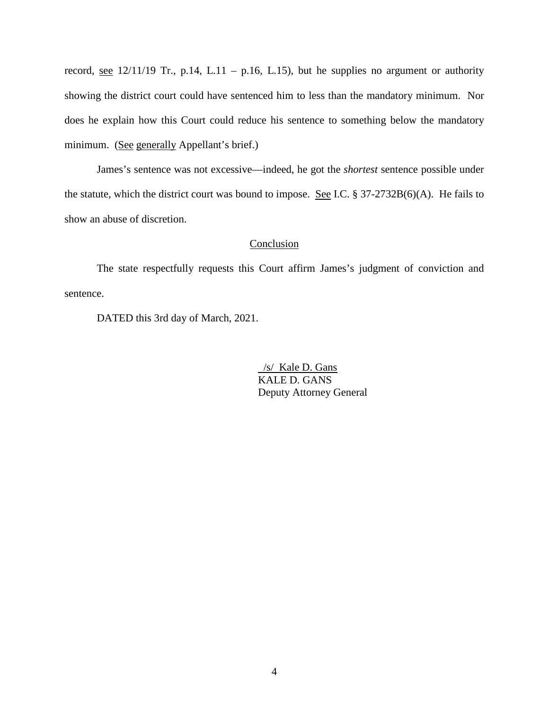record, <u>see</u> 12/11/19 Tr., p.14, L.11 – p.16, L.15), but he supplies no argument or authority showing the district court could have sentenced him to less than the mandatory minimum. Nor does he explain how this Court could reduce his sentence to something below the mandatory minimum. (See generally Appellant's brief.)

James's sentence was not excessive—indeed, he got the *shortest* sentence possible under the statute, which the district court was bound to impose. See I.C. § 37-2732B(6)(A). He fails to show an abuse of discretion.

#### Conclusion

The state respectfully requests this Court affirm James's judgment of conviction and sentence.

DATED this 3rd day of March, 2021.

 /s/ Kale D. Gans KALE D. GANS Deputy Attorney General